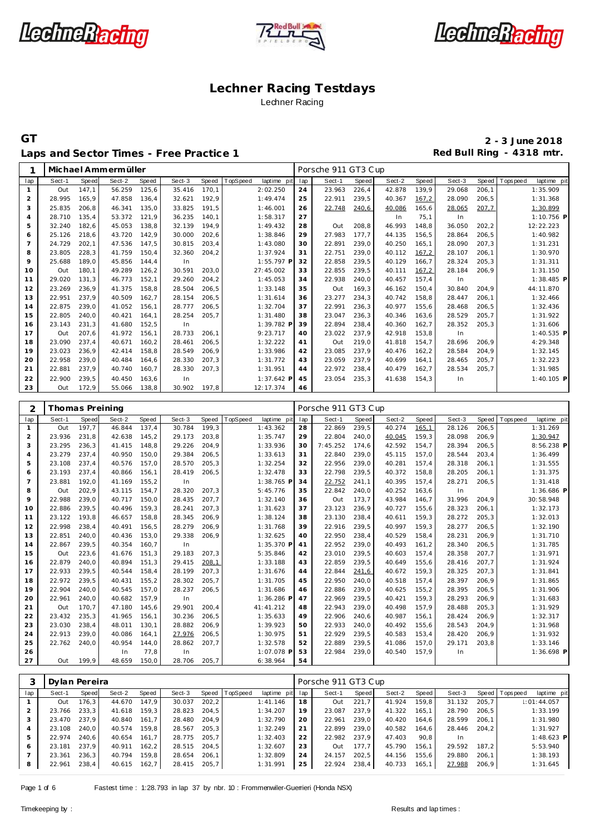





Laps and Sector Times - Free Practice 1 **Red Bull Ring - 4318 mtr.** 

**GT 2 - 3 June 2018**

| 1              |        |                 | Michael Ammermüller |               |              |        |                         |          | Porsche 911 GT3 Cup |                |                  |                |              |        |                                       |
|----------------|--------|-----------------|---------------------|---------------|--------------|--------|-------------------------|----------|---------------------|----------------|------------------|----------------|--------------|--------|---------------------------------------|
| lap            | Sect-1 | Speed           | Sect-2              | Speed         | Sect-3       | Speed  | TopSpeed<br>laptime pit | lap      | Sect-1              | Speed          | Sect-2           | Speed          | Sect-3       | Speed  | T ops peed<br>laptime pit             |
| $\mathbf{1}$   | Out    | 147,1           | 56.259              | 125,6         | 35.416       | 170,1  | 2:02.250                | 24       | 23.963              | 226,4          | 42.878           | 139,9          | 29.068       | 206,1  | 1:35.909                              |
| $\overline{c}$ | 28.995 | 165,9           | 47.858              | 136,4         | 32.621       | 192,9  | 1:49.474                | 25       | 22.911              | 239,5          | 40.367           | 167,2          | 28.090       | 206,5  | 1:31.368                              |
| 3              | 25.835 | 206,8           | 46.341              | 135,0         | 33.825       | 191,5  | 1:46.001                | 26       | 22.748              | 240,6          | 40.086           | 165,6          | 28.065       | 207,7  | 1:30.899                              |
| $\overline{4}$ | 28.710 | 135,4           | 53.372              | 121,9         | 36.235       | 140,1  | 1:58.317                | 27       |                     |                | In               | 75,1           | In           |        | 1:10.756 P                            |
| 5              | 32.240 | 182,6           | 45.053              | 138,8         | 32.139       | 194,9  | 1:49.432                | 28       | Out                 | 208,8          | 46.993           | 148,8          | 36.050       | 202, 2 | 12:22.223                             |
| 6              | 25.126 | 218,6           | 43.720              | 142,9         | 30.000       | 202,6  | 1:38.846                | 29       | 27.983              | 177,7          | 44.135           | 156,5          | 28.864       | 206,5  | 1:40.982                              |
| $\overline{7}$ | 24.729 | 202,1           | 47.536              | 147,5         | 30.815       | 203,4  | 1:43.080                | 30       | 22.891              | 239,0          | 40.250           | 165,1          | 28.090       | 207,3  | 1:31.231                              |
| 8              | 23.805 | 228,3           | 41.759              | 150,4         | 32.360       | 204,2  | 1:37.924                | 31       | 22.751              | 239,0          | 40.112           | 167,2          | 28.107       | 206,1  | 1:30.970                              |
| 9              | 25.688 | 189,0           | 45.856              | 144,4         | In           |        | 1:55.797 F              | 32       | 22.858              | 239,5          | 40.129           | 166,7          | 28.324       | 205,3  | 1:31.311                              |
| 10             | Out    | 180,1           | 49.289              | 126,2         | 30.591       | 203,0  | 27:45.002               | 33       | 22.855              | 239,5          | 40.111           | 167,2          | 28.184       | 206,9  | 1:31.150                              |
| 11             | 29.020 | 131,3           | 46.773              | 152,1         | 29.260       | 204,2  | 1:45.053                | 34       | 22.938              | 240,0          | 40.457           | 157,4          | In           |        | 1:38.485 P                            |
| 12             | 23.269 | 236,9           | 41.375              | 158,8         | 28.504       | 206,5  | 1:33.148                | 35       | Out                 | 169,3          | 46.162           | 150,4          | 30.840       | 204,9  | 44:11.870                             |
| 13             | 22.951 | 237,9           | 40.509              | 162,7         | 28.154       | 206, 5 | 1:31.614                | 36       | 23.277              | 234,3          | 40.742           | 158,8          | 28.447       | 206,1  | 1:32.466                              |
| 14             | 22.875 | 239,0           | 41.052              | 156,1         | 28.777       | 206, 5 | 1:32.704                | 37       | 22.991              | 236,3          | 40.977           | 155,6          | 28.468       | 206,5  | 1:32.436                              |
| 15             | 22.805 | 240,0           | 40.421              | 164,1         | 28.254       | 205,7  | 1:31.480                | 38       | 23.047              | 236,3          | 40.346           | 163,6          | 28.529       | 205,7  | 1:31.922                              |
| 16             | 23.143 | 231,3           | 41.680              | 152,5         | In           |        | 1:39.782 F              | 39       | 22.894              | 238,4          | 40.360           | 162,7          | 28.352       | 205,3  | 1:31.606                              |
| 17             | Out    | 207,6           | 41.972              | 156,1         | 28.733       | 206,1  | 9:23.717                | 40       | 23.022              | 237,9          | 42.918           | 153,8          | In           |        | 1:40.535 P                            |
| 18             | 23.090 | 237,4           | 40.671              | 160,2         | 28.461       | 206,5  | 1:32.222                | 41       | Out                 | 219,0          | 41.818           | 154,7          | 28.696       | 206,9  | 4:29.348                              |
| 19             | 23.023 | 236,9           | 42.414              | 158,8         | 28.549       | 206,9  | 1:33.986                | 42       | 23.085              | 237,9          | 40.476           | 162, 2         | 28.584       | 204,9  | 1:32.145                              |
| 20             | 22.958 | 239,0           | 40.484              | 164,6         | 28.330       | 207,3  | 1:31.772                | 43       | 23.059              | 237,9          | 40.699           | 164,1          | 28.465       | 205,7  | 1:32.223                              |
| 21             | 22.881 | 237,9           | 40.740              | 160,7         | 28.330       | 207,3  | 1:31.951                | 44       | 22.972              | 238,4          | 40.479           | 162,7          | 28.534       | 205,7  | 1:31.985                              |
| 22             | 22.900 | 239,5           | 40.450              | 163,6         | In           |        | 1:37.642 P              | 45       | 23.054              | 235,3          | 41.638           | 154,3          | In           |        | 1:40.105 P                            |
| 23             | Out    | 172,9           | 55.066              | 138,8         | 30.902       | 197,8  | 12:17.374               | 46       |                     |                |                  |                |              |        |                                       |
|                |        |                 |                     |               |              |        |                         |          |                     |                |                  |                |              |        |                                       |
| 2              |        | Thomas Preining |                     |               |              |        |                         |          | Porsche 911 GT3 Cup |                |                  |                |              |        |                                       |
|                |        |                 |                     |               |              |        |                         |          |                     |                |                  |                |              |        |                                       |
| lap            | Sect-1 | Speed           | Sect-2              | Speed         | Sect-3       | Speed  | TopSpeed<br>laptime pit | lap      | Sect-1              | Speed          | Sect-2           | Speed          | Sect-3       | Speed  | T ops peed                            |
| 1              | Out    | 197,7           | 46.844              | 137,4         | 30.784       | 199,3  | 1:43.362                | 28       | 22.869              | 239,5          | 40.274           | 165,1          | 28.126       | 206,5  | 1:31.269                              |
| $\overline{c}$ | 23.936 | 231,8           | 42.638              | 145,2         | 29.173       | 203,8  | 1:35.747                | 29       | 22.804              | 240,0          | 40.045           | 159,3          | 28.098       | 206,9  | 1:30.947                              |
| 3              | 23.295 | 236,3           | 41.415              | 148,8         | 29.226       | 204,9  | 1:33.936                | 30       | 7:45.252            | 174,6          | 42.592           | 154,7          | 28.394       | 206,5  | 8:56.238 P                            |
| $\overline{4}$ | 23.279 | 237,4           | 40.950              | 150,0         | 29.384       | 206,5  | 1:33.613                | 31       | 22.840              | 239,0          | 45.115           | 157,0          | 28.544       | 203,4  | 1:36.499                              |
| 5              | 23.108 | 237,4           | 40.576              | 157,0         | 28.570       | 205, 3 | 1:32.254                | 32       | 22.956              | 239,0          | 40.281           | 157,4          | 28.318       | 206,1  | 1:31.555                              |
| 6              | 23.193 | 237,4           | 40.866              | 156,1         | 28.419       | 206, 5 | 1:32.478                | 33       | 22.798              | 239,5          | 40.372           | 158,8          | 28.205       | 206,1  | 1:31.375                              |
| $\overline{7}$ | 23.881 | 192,0           | 41.169              | 155,2         | In           |        | 1:38.765 F              | 34       | 22.752              | 241,1          | 40.395           | 157,4          | 28.271       | 206,5  | 1:31.418                              |
| 8              | Out    | 202,9           | 43.115              | 154,7         | 28.320       | 207,3  | 5:45.776                | 35       | 22.842              | 240,0          | 40.252           | 163,6          | In           |        |                                       |
| 9              | 22.988 | 239,0           | 40.717              | 150,0         | 28.435       | 207,7  | 1:32.140                | 36       | Out                 | 173,7          | 43.984           | 146,7          | 31.996       | 204,9  | 30:58.948                             |
| 10             | 22.886 | 239,5           | 40.496              | 159,3         | 28.241       | 207,3  | 1:31.623                | 37       | 23.123              | 236,9          | 40.727           | 155,6          | 28.323       | 206,1  | 1:32.173                              |
| 11             | 23.122 | 193,8           | 46.657              | 158,8         | 28.345       | 206,9  | 1:38.124                | 38       | 23.130              | 238,4          | 40.611           | 159,3          | 28.272       | 205,3  | laptime pit<br>1:36.686 P<br>1:32.013 |
| 12             | 22.998 | 238,4           | 40.491              | 156,5         | 28.279       | 206,9  | 1:31.768                | 39       | 22.916              | 239,5          | 40.997           | 159,3          | 28.277       | 206,5  | 1:32.190                              |
| 13             | 22.851 | 240,0           | 40.436              | 153,0         | 29.338       | 206,9  | 1:32.625                | 40       | 22.950              | 238,4          | 40.529           | 158,4          | 28.231       | 206,9  | 1:31.710                              |
| 14             | 22.867 | 239,5           | 40.354              | 160,7         | In           |        | 1:35.370 F              | 41       | 22.952              | 239,0          | 40.493           | 161,2          | 28.340       | 206,5  | 1:31.785                              |
| 15             | Out    | 223,6           | 41.676              | 151,3         | 29.183       | 207,3  | 5:35.846                | 42       | 23.010              | 239,5          | 40.603           | 157,4          | 28.358       | 207,7  | 1:31.971                              |
| 16             | 22.879 | 240,0           | 40.894              | 151,3         | 29.415       | 208,1  | 1:33.188                | 43       | 22.859              | 239,5          | 40.649           | 155,6          | 28.416       | 207,7  | 1:31.924                              |
| 17             | 22.933 | 239,5           | 40.544              | 158,4         | 28.199       | 207,3  | 1:31.676                | 44       | 22.844              | 241,6          | 40.672           | 159,3          | 28.325       | 207,3  | 1:31.841                              |
| 18             | 22.972 | 239,5           | 40.431              | 155,2         | 28.302       | 205,7  | 1:31.705                | 45       | 22.950              | 240,0          | 40.518           | 157,4          | 28.397       | 206,9  | 1:31.865                              |
| 19             | 22.904 | 240,0           | 40.545              | 157,0         | 28.237       | 206,5  | 1:31.686                | 46       | 22.886              | 239,0          | 40.625           | 155,2          | 28.395       | 206,5  | 1:31.906                              |
| 20             | 22.961 | 240,0           | 40.682              | 157,9         | In           |        | 1:36.286 F              | 47       | 22.969              | 239,5          | 40.421           | 159,3          | 28.293       | 206,9  | 1:31.683                              |
| 21             | Out    | 170,7           | 47.180              | 145,6         | 29.901       | 200,4  | 41:41.212               | 48       | 22.943              | 239,0          | 40.498           | 157,9          | 28.488       | 205,3  | 1:31.929                              |
| 22             | 23.432 | 235,3           | 41.965              | 156,1         | 30.236       | 206, 5 | 1:35.633                | 49       | 22.906              | 240,6          | 40.987           | 156,1          | 28.424       | 206,9  | 1:32.317                              |
| 23             | 23.030 | 238,4           | 48.011              | 130,1         | 28.882       | 206,9  | 1:39.923                | 50       | 22.933              | 240,0          | 40.492           | 155,6          | 28.543       | 204,9  | 1:31.968                              |
| 24             | 22.913 | 239,0           | 40.086              | 164,1         | 27.976       | 206, 5 | 1:30.975                | 51       | 22.929              | 239,5          | 40.583           | 153,4          | 28.420       | 206,9  | 1:31.932                              |
| 25<br>26       | 22.762 | 240,0           | 40.954<br>In        | 144,0<br>77,8 | 28.862<br>In | 207,7  | 1:32.578<br>1:07.078 P  | 52<br>53 | 22.889<br>22.984    | 239,5<br>239,0 | 41.086<br>40.540 | 157,0<br>157,9 | 29.171<br>In | 203,8  | 1:33.146<br>1:36.698 P                |

|     |        | Dylan Pereira |        |       |        |       |                |                 |    | Porsche 911 GT3 Cup |       |        |       |        |       |                 |              |
|-----|--------|---------------|--------|-------|--------|-------|----------------|-----------------|----|---------------------|-------|--------|-------|--------|-------|-----------------|--------------|
| lap | Sect-1 | Speed         | Sect-2 | Speed | Sect-3 |       | Speed TopSpeed | laptime pit lap |    | Sect-1              | Speed | Sect-2 | Speed | Sect-3 |       | Speed Tops peed | laptime pit  |
|     | Out    | 176.3         | 44.670 | 147.9 | 30.037 | 202.2 |                | 1: 41.146       | 18 | Out                 | 221.7 | 41.924 | 159,8 | 31.132 | 205.7 |                 | : 01: 44.057 |
|     | 23.766 | 233.3         | 41.618 | 159.3 | 28.823 | 204.5 |                | 1:34.207        | 19 | 23.087              | 237.9 | 41.322 | 165.1 | 28.790 | 206.5 |                 | 1:33.199     |
| 3   | 23.470 | 237.9         | 40.840 | 161.7 | 28.480 | 204.9 |                | 1:32.790        | 20 | 22.961              | 239.0 | 40.420 | 164.6 | 28.599 | 206.1 |                 | 1:31.980     |
|     | 23.108 | 240.0         | 40.574 | 159.8 | 28.567 | 205.3 |                | 1:32.249        | 21 | 22.899              | 239.0 | 40.582 | 164.6 | 28.446 | 204.2 |                 | 1:31.927     |
| 5   | 22.974 | 240.6         | 40.654 | 161.7 | 28.775 | 205.7 |                | 1:32.403        | 22 | 22.982              | 237.9 | 47.403 | 90.8  | In.    |       |                 | $1:48.623$ P |
| 6   | 23.181 | 237.9         | 40.911 | 162.2 | 28.515 | 204.5 |                | 1:32.607        | 23 | Out                 | 177.7 | 45.790 | 156.1 | 29.592 | 187.2 |                 | 5:53.940     |
|     | 23.361 | 236.3         | 40.794 | 159.8 | 28.654 | 206.1 |                | 1:32.809        | 24 | 24.157              | 202.5 | 44.156 | 155.6 | 29.880 | 206.1 |                 | 1:38.193     |
| 8   | 22.961 | 238.4         | 40.615 | 162.7 | 28.415 | 205.7 |                | 1:31.991        | 25 | 22.924              | 238,4 | 40.733 | 165,1 | 27.988 | 206.9 |                 | 1:31.645     |

Page 1 of 6 Fastest time : 1:28.793 in lap 37 by nbr. 10 : Frommenwiler-Guerrieri (Honda NSX)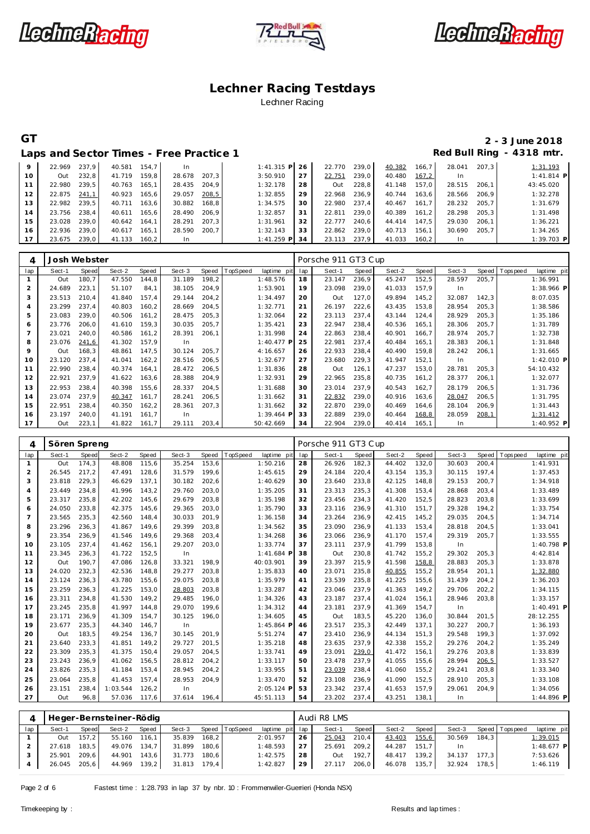





# **GT 2 - 3 June 2018**

|    |        |       |        |       | Laps and Sector Times - Free Practice 1 |       |              |    |        |       |        |        |        |       | Red Bull Ring - 4318 mtr. |
|----|--------|-------|--------|-------|-----------------------------------------|-------|--------------|----|--------|-------|--------|--------|--------|-------|---------------------------|
| 9  | 22.969 | 237.9 | 40.581 | 154.7 | <b>In</b>                               |       | $1:41.315$ P | 26 | 22.770 | 239.0 | 40.382 | 166, 7 | 28.041 | 207.3 | 1:31.193                  |
| 10 | Out    | 232.8 | 41.719 | 159.8 | 28.678                                  | 207.3 | 3:50.910     | 27 | 22.751 | 239.0 | 40.480 | 167,2  | In     |       | $1:41.814$ P              |
| 11 | 22.980 | 239.5 | 40.763 | 165.1 | 28.435                                  | 204.9 | 1:32.178     | 28 | Out    | 228,8 | 41.148 | 157.0  | 28.515 | 206.1 | 43:45.020                 |
| 12 | 22.875 | 241.1 | 40.923 | 165.6 | 29.057                                  | 208,5 | 1:32.855     | 29 | 22.968 | 236.9 | 40.744 | 163.6  | 28.566 | 206.9 | 1:32.278                  |
| 13 | 22.982 | 239.5 | 40.711 | 163.6 | 30.882                                  | 168.8 | 1:34.575     | 30 | 22.980 | 237.4 | 40.467 | 161,7  | 28.232 | 205.7 | 1:31.679                  |
| 14 | 23.756 | 238.4 | 40.611 | 165.6 | 28.490                                  | 206.9 | 1:32.857     | 31 | 22.811 | 239.0 | 40.389 | 161.2  | 28.298 | 205.3 | 1:31.498                  |
| 15 | 23.028 | 239.0 | 40.642 | 164.1 | 28.291                                  | 207.3 | 1:31.961     | 32 | 22.777 | 240.6 | 44.414 | 147.5  | 29.030 | 206.1 | 1:36.221                  |
| 16 | 22.936 | 239.0 | 40.617 | 165.1 | 28.590                                  | 200.7 | 1:32.143     | 33 | 22.862 | 239.0 | 40.713 | 156.1  | 30.690 | 205.7 | 1:34.265                  |
|    | 23.675 | 239.0 | 41.133 | 160.2 | In.                                     |       | $1:41.259$ P | 34 | 23.113 | 237.9 | 41.033 | 160.2  | In     |       | 1:39.703 P                |

| 4   | Josh Webster |       |        |       |        |       |          |              |     | Porsche 911 GT3 Cup |       |        |        |        |       |             |                |
|-----|--------------|-------|--------|-------|--------|-------|----------|--------------|-----|---------------------|-------|--------|--------|--------|-------|-------------|----------------|
| lap | Sect-1       | Speed | Sect-2 | Speed | Sect-3 | Speed | TopSpeed | laptime pit  | lap | Sect-1              | Speed | Sect-2 | Speed  | Sect-3 | Speed | T ops pee d | laptime<br>pit |
|     | Out          | 180,7 | 47.550 | 144,8 | 31.189 | 198,2 |          | 1:48.576     | 18  | 23.147              | 236,9 | 45.247 | 152,5  | 28.597 | 205,7 |             | 1:36.991       |
| 2   | 24.689       | 223,1 | 51.107 | 84,1  | 38.105 | 204,9 |          | 1:53.901     | 19  | 23.098              | 239,0 | 41.033 | 157,9  | In.    |       |             | $1:38.966$ P   |
| 3   | 23.513       | 210,4 | 41.840 | 157,4 | 29.144 | 204,2 |          | 1:34.497     | 20  | Out                 | 127,0 | 49.894 | 145,2  | 32.087 | 142,3 |             | 8:07.035       |
| 4   | 23.299       | 237.4 | 40.803 | 160,2 | 28.669 | 204,5 |          | 1:32.771     | 21  | 26.197              | 222,6 | 43.435 | 153,8  | 28.954 | 205,3 |             | 1:38.586       |
| 5   | 23.083       | 239.0 | 40.506 | 161,2 | 28.475 | 205,3 |          | 1:32.064     | 22  | 23.113              | 237.4 | 43.144 | 124,4  | 28.929 | 205.3 |             | 1:35.186       |
| 6   | 23.776       | 206,0 | 41.610 | 159,3 | 30.035 | 205,7 |          | 1:35.421     | 23  | 22.947              | 238,4 | 40.536 | 165, 1 | 28.306 | 205,7 |             | 1:31.789       |
|     | 23.021       | 240,0 | 40.586 | 161,2 | 28.391 | 206,1 |          | 1:31.998     | 24  | 22.863              | 238,4 | 40.901 | 166,7  | 28.974 | 205,7 |             | 1:32.738       |
| 8   | 23.076       | 241,6 | 41.302 | 157.9 | In     |       |          | $1:40.477$ P | 25  | 22.981              | 237.4 | 40.484 | 165,1  | 28.383 | 206.1 |             | 1:31.848       |
| 9   | Out          | 168.3 | 48.861 | 147.5 | 30.124 | 205,7 |          | 4:16.657     | 26  | 22.933              | 238,4 | 40.490 | 159,8  | 28.242 | 206,1 |             | 1:31.665       |
| 10  | 23.120       | 237.4 | 41.041 | 162,2 | 28.516 | 206,5 |          | 1:32.677     | 27  | 23.680              | 229,3 | 41.947 | 152,1  | In     |       |             | $1:42.010$ P   |
| 11  | 22.990       | 238,4 | 40.374 | 164,1 | 28.472 | 206,5 |          | 1:31.836     | 28  | Out                 | 126,1 | 47.237 | 153,0  | 28.781 | 205,3 |             | 54:10.432      |
| 12  | 22.921       | 237.9 | 41.622 | 163,6 | 28.388 | 204,9 |          | 1:32.931     | 29  | 22.965              | 235,8 | 40.735 | 161,2  | 28.377 | 206,1 |             | 1:32.077       |
| 13  | 22.953       | 238,4 | 40.398 | 155,6 | 28.337 | 204,5 |          | 1:31.688     | 30  | 23.014              | 237,9 | 40.543 | 162,7  | 28.179 | 206,5 |             | 1:31.736       |
| 14  | 23.074       | 237.9 | 40.347 | 161,7 | 28.241 | 206,5 |          | 1:31.662     | 31  | 22.832              | 239,0 | 40.916 | 163,6  | 28.047 | 206,5 |             | 1:31.795       |
| 15  | 22.951       | 238,4 | 40.350 | 162,2 | 28.361 | 207,3 |          | 1:31.662     | 32  | 22.870              | 239,0 | 40.469 | 164,6  | 28.104 | 206,9 |             | 1:31.443       |
| 16  | 23.197       | 240,0 | 41.191 | 161,7 | In.    |       |          | $1:39.464$ P | 33  | 22.889              | 239,0 | 40.464 | 168,8  | 28.059 | 208,1 |             | 1:31.412       |
| 17  | Out          | 223,1 | 41.822 | 161.7 | 29.111 | 203,4 |          | 50:42.669    | 34  | 22.904              | 239,0 | 40.414 | 165, 1 | In     |       |             | $1:40.952$ P   |

| 4               | Sören Spreng |       |          |       |        |       |                        |     | Porsche 911 GT3 Cup |       |        |       |        |        |            |              |
|-----------------|--------------|-------|----------|-------|--------|-------|------------------------|-----|---------------------|-------|--------|-------|--------|--------|------------|--------------|
| lap             | Sect-1       | Speed | Sect-2   | Speed | Sect-3 | Speed | opSpeed<br>laptime pit | lap | Sect-1              | Speed | Sect-2 | Speed | Sect-3 | Speed  | T ops peed | laptime pit  |
| $\mathbf{1}$    | Out          | 174,3 | 48.808   | 115,6 | 35.254 | 153,6 | 1:50.216               | 28  | 26.926              | 182,3 | 44.402 | 132,0 | 30.603 | 200,4  |            | 1:41.931     |
| 2               | 26.545       | 217,2 | 47.491   | 128,6 | 31.579 | 199,6 | 1:45.615               | 29  | 24.184              | 220,4 | 43.154 | 135,3 | 30.115 | 197,4  |            | 1:37.453     |
| 3               | 23.818       | 229,3 | 46.629   | 137,1 | 30.182 | 202,6 | 1:40.629               | 30  | 23.640              | 233,8 | 42.125 | 148,8 | 29.153 | 200,7  |            | 1:34.918     |
| $\overline{4}$  | 23.449       | 234.8 | 41.996   | 143,2 | 29.760 | 203,0 | 1:35.205               | 31  | 23.313              | 235,3 | 41.308 | 153,4 | 28.868 | 203,4  |            | 1:33.489     |
| 5               | 23.317       | 235,8 | 42.202   | 145,6 | 29.679 | 203,8 | 1:35.198               | 32  | 23.456              | 234,3 | 41.420 | 152,5 | 28.823 | 203,8  |            | 1:33.699     |
| 6               | 24.050       | 233,8 | 42.375   | 145,6 | 29.365 | 203,0 | 1:35.790               | 33  | 23.116              | 236,9 | 41.310 | 151,7 | 29.328 | 194,2  |            | 1:33.754     |
| $7\overline{ }$ | 23.565       | 235.3 | 42.560   | 148,4 | 30.033 | 201,9 | 1:36.158               | 34  | 23.264              | 236,9 | 42.415 | 145,2 | 29.035 | 204,5  |            | 1:34.714     |
| 8               | 23.296       | 236,3 | 41.867   | 149.6 | 29.399 | 203,8 | 1:34.562               | 35  | 23.090              | 236,9 | 41.133 | 153,4 | 28.818 | 204,5  |            | 1:33.041     |
| 9               | 23.354       | 236,9 | 41.546   | 149.6 | 29.368 | 203,4 | 1:34.268               | 36  | 23.066              | 236,9 | 41.170 | 157,4 | 29.319 | 205,7  |            | 1:33.555     |
| 10              | 23.105       | 237,4 | 41.462   | 156,1 | 29.207 | 203,0 | 1:33.774               | 37  | 23.111              | 237,9 | 41.799 | 153,8 | In     |        |            | 1:40.798 P   |
| 11              | 23.345       | 236,3 | 41.722   | 152,5 | In     |       | $1:41.684$ F           | 38  | Out                 | 230,8 | 41.742 | 155,2 | 29.302 | 205.3  |            | 4:42.814     |
| 12              | Out          | 190,7 | 47.086   | 126,8 | 33.321 | 198,9 | 40:03.901              | 39  | 23.397              | 215,9 | 41.598 | 158,8 | 28.883 | 205, 3 |            | 1:33.878     |
| 13              | 24.020       | 232,3 | 42.536   | 148,8 | 29.277 | 203,8 | 1:35.833               | 40  | 23.071              | 235,8 | 40.855 | 155,2 | 28.954 | 201,1  |            | 1:32.880     |
| 14              | 23.124       | 236,3 | 43.780   | 155,6 | 29.075 | 203,8 | 1:35.979               | 41  | 23.539              | 235,8 | 41.225 | 155,6 | 31.439 | 204,2  |            | 1:36.203     |
| 15              | 23.259       | 236.3 | 41.225   | 153.0 | 28.803 | 203,8 | 1:33.287               | 42  | 23.046              | 237,9 | 41.363 | 149,2 | 29.706 | 202,2  |            | 1:34.115     |
| 16              | 23.311       | 234.8 | 41.530   | 149,2 | 29.485 | 196,0 | 1:34.326               | 43  | 23.187              | 237,4 | 41.024 | 156,1 | 28.946 | 203,8  |            | 1:33.157     |
| 17              | 23.245       | 235.8 | 41.997   | 144.8 | 29.070 | 199,6 | 1:34.312               | 44  | 23.181              | 237,9 | 41.369 | 154,7 | In     |        |            | $1:40.491$ P |
| 18              | 23.171       | 236.9 | 41.309   | 154.7 | 30.125 | 196,0 | 1:34.605               | 45  | Out                 | 183,5 | 45.220 | 136,0 | 30.844 | 201,5  |            | 28:12.255    |
| 19              | 23.677       | 235.3 | 44.340   | 146.7 | In     |       | $1:45.864$ P           | 46  | 23.517              | 235,3 | 42.449 | 137.1 | 30.227 | 200,7  |            | 1:36.193     |
| 20              | Out          | 183,5 | 49.254   | 136,7 | 30.145 | 201,9 | 5:51.274               | 47  | 23.410              | 236,9 | 44.134 | 151,3 | 29.548 | 199,3  |            | 1:37.092     |
| 21              | 23.640       | 233,3 | 41.851   | 149,2 | 29.727 | 201,5 | 1:35.218               | 48  | 23.635              | 237,9 | 42.338 | 155,2 | 29.276 | 204,2  |            | 1:35.249     |
| 22              | 23.309       | 235,3 | 41.375   | 150,4 | 29.057 | 204,5 | 1:33.741               | 49  | 23.091              | 239,0 | 41.472 | 156,1 | 29.276 | 203,8  |            | 1:33.839     |
| 23              | 23.243       | 236,9 | 41.062   | 156,5 | 28.812 | 204,2 | 1:33.117               | 50  | 23.478              | 237,9 | 41.055 | 155,6 | 28.994 | 206, 5 |            | 1:33.527     |
| 24              | 23.826       | 235,3 | 41.184   | 153,4 | 28.945 | 204,2 | 1:33.955               | 51  | 23.039              | 238,4 | 41.060 | 155,2 | 29.241 | 203,8  |            | 1:33.340     |
| 25              | 23.064       | 235.8 | 41.453   | 157,4 | 28.953 | 204,9 | 1:33.470               | 52  | 23.108              | 236,9 | 41.090 | 152,5 | 28.910 | 205,3  |            | 1:33.108     |
| 26              | 23.151       | 238,4 | 1:03.544 | 126,2 | In     |       | 2:05.124 P             | 53  | 23.342              | 237,4 | 41.653 | 157,9 | 29.061 | 204,9  |            | 1:34.056     |
| 27              | Out          | 96,8  | 57.036   | 117,6 | 37.614 | 196,4 | 45:51.113              | 54  | 23.202              | 237,4 | 43.251 | 138.1 | In.    |        |            | 1:44.896 P   |
|                 |              |       |          |       |        |       |                        |     |                     |       |        |       |        |        |            |              |

|     |        |         | Heger-Bernsteiner-Rödig |       |                  |         |                |                 |    | Audi R8 LMS |       |        |       |        |       |                   |              |
|-----|--------|---------|-------------------------|-------|------------------|---------|----------------|-----------------|----|-------------|-------|--------|-------|--------|-------|-------------------|--------------|
| lap | Sect-1 | Speed   | Sect-2                  | Speed | Sect-3           |         | Speed TopSpeed | laptime pit lap |    | Sect-1      | Speed | Sect-2 | Speed | Sect-3 |       | Speed   Tops peed | laptime pit  |
|     | Out    | $157.2$ | 55.160 116.1            |       | 35.839           | $168.2$ |                | 2:01.957        | 26 | 25.043      | 210.4 | 43.403 | 155,6 | 30.569 | 184.3 |                   | 1:39.015     |
|     | 27.618 | 183.5   | 49.076                  | 134,7 | 31.899           | 180.6   |                | 1:48.593        | 27 | 25.691      | 209,2 | 44.287 | 151.7 |        |       |                   | $1:48.677$ P |
|     | 25.901 | 209.6   | 44.901                  | 143.6 | 31.773           | 180.6   |                | 1:42.575        | 28 | Out         | 192.7 | 48.417 | 139.2 | 34.137 | 177.3 |                   | 7:53.626     |
|     | 26.045 | 205.6   | 44.969 139,2            |       | $31.813$ $179.4$ |         |                | 1:42.827        | 29 | 27.117      | 206,0 | 46.078 | 135.7 | 32.924 | 178.5 |                   | 1:46.119     |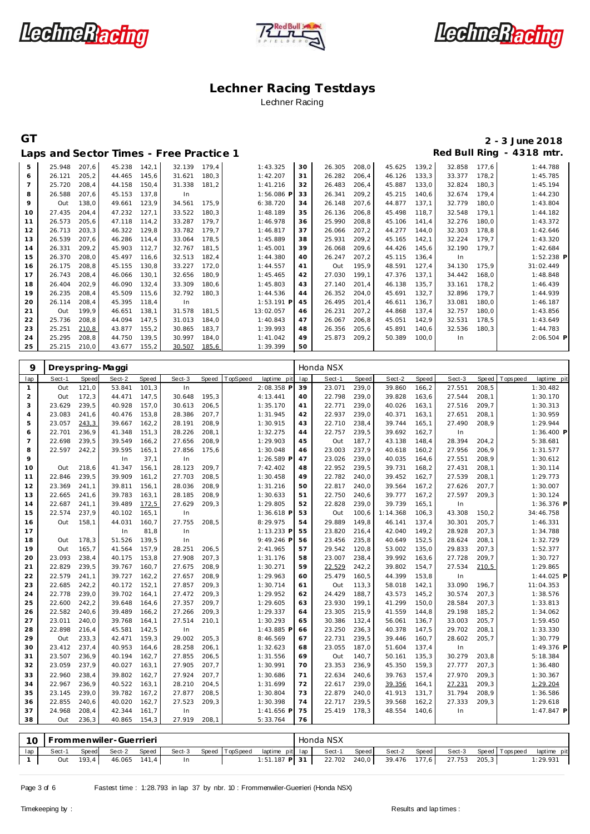





# **GT 2 - 3 June 2018**

| Red Bull Ring - 4318 mtr.<br>Laps and Sector Times - Free Practice 1 |        |       |        |       |        |       |              |    |        |       |        |       |        |       |              |
|----------------------------------------------------------------------|--------|-------|--------|-------|--------|-------|--------------|----|--------|-------|--------|-------|--------|-------|--------------|
| 5                                                                    | 25.948 | 207,6 | 45.238 | 142,1 | 32.139 | 179.4 | 1:43.325     | 30 | 26.305 | 208,0 | 45.625 | 139,2 | 32.858 | 177.6 | 1:44.788     |
| 6                                                                    | 26.121 | 205,2 | 44.465 | 145,6 | 31.621 | 180,3 | 1:42.207     | 31 | 26.282 | 206,4 | 46.126 | 133,3 | 33.377 | 178,2 | 1:45.785     |
| $\overline{7}$                                                       | 25.720 | 208,4 | 44.158 | 150,4 | 31.338 | 181,2 | 1:41.216     | 32 | 26.483 | 206,4 | 45.887 | 133,0 | 32.824 | 180,3 | 1:45.194     |
| 8                                                                    | 26.588 | 207.6 | 45.153 | 137.8 | In.    |       | 1:56.086 P   | 33 | 26.341 | 209,2 | 45.215 | 140.6 | 32.674 | 179.4 | 1:44.230     |
| 9                                                                    | Out    | 138,0 | 49.661 | 123,9 | 34.561 | 175.9 | 6:38.720     | 34 | 26.148 | 207.6 | 44.877 | 137.1 | 32.779 | 180.0 | 1:43.804     |
| 10                                                                   | 27.435 | 204,4 | 47.232 | 127,1 | 33.522 | 180,3 | 1:48.189     | 35 | 26.136 | 206,8 | 45.498 | 118,7 | 32.548 | 179.1 | 1:44.182     |
| 11                                                                   | 26.573 | 205,6 | 47.118 | 114.2 | 33.287 | 179,7 | 1:46.978     | 36 | 25.990 | 208.8 | 45.106 | 141.4 | 32.276 | 180.0 | 1:43.372     |
| 12                                                                   | 26.713 | 203,3 | 46.322 | 129,8 | 33.782 | 179,7 | 1:46.817     | 37 | 26.066 | 207,2 | 44.277 | 144.0 | 32.303 | 178,8 | 1:42.646     |
| 13                                                                   | 26.539 | 207.6 | 46.286 | 114.4 | 33.064 | 178,5 | 1:45.889     | 38 | 25.931 | 209,2 | 45.165 | 142.1 | 32.224 | 179,7 | 1:43.320     |
| 14                                                                   | 26.331 | 209.2 | 45.903 | 112.7 | 32.767 | 181,5 | 1:45.001     | 39 | 26.068 | 209,6 | 44.426 | 145.6 | 32.190 | 179.7 | 1:42.684     |
| 15                                                                   | 26.370 | 208,0 | 45.497 | 116.6 | 32.513 | 182,4 | 1:44.380     | 40 | 26.247 | 207,2 | 45.115 | 136,4 | In     |       | 1:52.238 P   |
| 16                                                                   | 26.175 | 208.8 | 45.155 | 130.8 | 33.227 | 172,0 | 1:44.557     | 41 | Out    | 195.9 | 48.591 | 127.4 | 34.130 | 175.9 | 31:02.449    |
| 17                                                                   | 26.743 | 208,4 | 46.066 | 130,1 | 32.656 | 180.9 | 1:45.465     | 42 | 27.030 | 199.1 | 47.376 | 137.1 | 34.442 | 168.0 | 1:48.848     |
| 18                                                                   | 26.404 | 202,9 | 46.090 | 132,4 | 33.309 | 180,6 | 1:45.803     | 43 | 27.140 | 201,4 | 46.138 | 135,7 | 33.161 | 178,2 | 1:46.439     |
| 19                                                                   | 26.235 | 208,4 | 45.509 | 115.6 | 32.792 | 180,3 | 1:44.536     | 44 | 26.352 | 204.0 | 45.691 | 132.7 | 32.896 | 179.7 | 1:44.939     |
| 20                                                                   | 26.114 | 208,4 | 45.395 | 118.4 | In.    |       | $1:53.191$ P | 45 | 26.495 | 201.4 | 46.611 | 136,7 | 33.081 | 180.0 | 1:46.187     |
| 21                                                                   | Out    | 199.9 | 46.651 | 138.1 | 31.578 | 181,5 | 13:02.057    | 46 | 26.231 | 207,2 | 44.868 | 137.4 | 32.757 | 180,0 | 1:43.856     |
| 22                                                                   | 25.736 | 208,8 | 44.094 | 147.5 | 31.013 | 184,0 | 1:40.843     | 47 | 26.067 | 206.8 | 45.051 | 142.9 | 32.531 | 178,5 | 1:43.649     |
| 23                                                                   | 25.251 | 210,8 | 43.877 | 155,2 | 30.865 | 183,7 | 1:39.993     | 48 | 26.356 | 205,6 | 45.891 | 140,6 | 32.536 | 180,3 | 1:44.783     |
| 24                                                                   | 25.295 | 208,8 | 44.750 | 139.5 | 30.997 | 184,0 | 1:41.042     | 49 | 25.873 | 209,2 | 50.389 | 100,0 | In     |       | $2:06.504$ P |
| 25                                                                   | 25.215 | 210,0 | 43.677 | 155,2 | 30.507 | 185,6 | 1:39.399     | 50 |        |       |        |       |        |       |              |

| 9              |        |       | Dreyspring-Maggi |              |        |        |          |              |     | Honda NSX |              |          |              |        |              |            |              |
|----------------|--------|-------|------------------|--------------|--------|--------|----------|--------------|-----|-----------|--------------|----------|--------------|--------|--------------|------------|--------------|
| lap            | Sect-1 | Speed | Sect-2           | <b>Speed</b> | Sect-3 | Speed  | TopSpeed | laptime pit  | lap | Sect-1    | <b>Speed</b> | Sect-2   | <b>Speed</b> | Sect-3 | <b>Speed</b> | T ops peed | laptime pit  |
| $\mathbf{1}$   | Out    | 121,0 | 53.841           | 101,3        | In     |        |          | 2:08.358 P   | 39  | 23.071    | 239,0        | 39.860   | 166,2        | 27.551 | 208,5        |            | 1:30.482     |
| 2              | Out    | 172,3 | 44.471           | 147,5        | 30.648 | 195,3  |          | 4:13.441     | 40  | 22.798    | 239,0        | 39.828   | 163,6        | 27.544 | 208,1        |            | 1:30.170     |
| 3              | 23.629 | 239,5 | 40.928           | 157,0        | 30.613 | 206, 5 |          | 1:35.170     | 41  | 22.771    | 239,0        | 40.026   | 163,1        | 27.516 | 209,7        |            | 1:30.313     |
| $\overline{4}$ | 23.083 | 241,6 | 40.476           | 153,8        | 28.386 | 207,7  |          | 1:31.945     | 42  | 22.937    | 239,0        | 40.371   | 163,1        | 27.651 | 208,1        |            | 1:30.959     |
| 5              | 23.057 | 243,3 | 39.667           | 162,2        | 28.191 | 208,9  |          | 1:30.915     | 43  | 22.710    | 238,4        | 39.744   | 165,1        | 27.490 | 208,9        |            | 1:29.944     |
| 6              | 22.701 | 236,9 | 41.348           | 151,3        | 28.226 | 208,1  |          | 1:32.275     | 44  | 22.757    | 239,5        | 39.692   | 162,7        | In     |              |            | 1:36.400 P   |
| 7              | 22.698 | 239,5 | 39.549           | 166,2        | 27.656 | 208,9  |          | 1:29.903     | 45  | Out       | 187,7        | 43.138   | 148,4        | 28.394 | 204,2        |            | 5:38.681     |
| 8              | 22.597 | 242,2 | 39.595           | 165,1        | 27.856 | 175,6  |          | 1:30.048     | 46  | 23.003    | 237,9        | 40.618   | 160,2        | 27.956 | 206,9        |            | 1:31.577     |
| 9              |        |       | In               | 37,1         | In     |        |          | 1:26.589 F   | 47  | 23.026    | 239,0        | 40.035   | 164,6        | 27.551 | 208,9        |            | 1:30.612     |
| 10             | Out    | 218,6 | 41.347           | 156,1        | 28.123 | 209,7  |          | 7:42.402     | 48  | 22.952    | 239,5        | 39.731   | 168,2        | 27.431 | 208,1        |            | 1:30.114     |
| 11             | 22.846 | 239,5 | 39.909           | 161,2        | 27.703 | 208,5  |          | 1:30.458     | 49  | 22.782    | 240,0        | 39.452   | 162,7        | 27.539 | 208,1        |            | 1:29.773     |
| 12             | 23.369 | 241,1 | 39.811           | 156,1        | 28.036 | 208,9  |          | 1:31.216     | 50  | 22.817    | 240,0        | 39.564   | 167,2        | 27.626 | 207,7        |            | 1:30.007     |
| 13             | 22.665 | 241,6 | 39.783           | 163,1        | 28.185 | 208,9  |          | 1:30.633     | 51  | 22.750    | 240,6        | 39.777   | 167,2        | 27.597 | 209,3        |            | 1:30.124     |
| 14             | 22.687 | 241,1 | 39.489           | 172,5        | 27.629 | 209,3  |          | 1:29.805     | 52  | 22.828    | 239,0        | 39.739   | 165,1        | In     |              |            | 1:36.376 P   |
| 15             | 22.574 | 237,9 | 40.102           | 165,1        | In     |        |          | $1:36.618$ F | 53  | Out       | 100,6        | 1:14.368 | 106,3        | 43.308 | 150,2        |            | 34:46.758    |
| 16             | Out    | 158,1 | 44.031           | 160,7        | 27.755 | 208,5  |          | 8:29.975     | 54  | 29.889    | 149,8        | 46.141   | 137,4        | 30.301 | 205,7        |            | 1:46.331     |
| 17             |        |       | In               | 81,8         | In     |        |          | 1:13.233 P   | 55  | 23.820    | 216,4        | 42.040   | 149,2        | 28.928 | 207,3        |            | 1:34.788     |
| 18             | Out    | 178,3 | 51.526           | 139,5        | In     |        |          | 9:49.246 F   | 56  | 23.456    | 235,8        | 40.649   | 152,5        | 28.624 | 208,1        |            | 1:32.729     |
| 19             | Out    | 165,7 | 41.564           | 157,9        | 28.251 | 206,5  |          | 2:41.965     | 57  | 29.542    | 120,8        | 53.002   | 135,0        | 29.833 | 207,3        |            | 1:52.377     |
| 20             | 23.093 | 238,4 | 40.175           | 153,8        | 27.908 | 207,3  |          | 1:31.176     | 58  | 23.007    | 238,4        | 39.992   | 163,6        | 27.728 | 209,7        |            | 1:30.727     |
| 21             | 22.829 | 239,5 | 39.767           | 160,7        | 27.675 | 208,9  |          | 1:30.271     | 59  | 22.529    | 242,2        | 39.802   | 154,7        | 27.534 | 210,5        |            | 1:29.865     |
| 22             | 22.579 | 241,1 | 39.727           | 162,2        | 27.657 | 208,9  |          | 1:29.963     | 60  | 25.479    | 160, 5       | 44.399   | 153,8        | In     |              |            | 1:44.025 P   |
| 23             | 22.685 | 242,2 | 40.172           | 152,1        | 27.857 | 209,3  |          | 1:30.714     | 61  | Out       | 113,3        | 58.018   | 142,1        | 33.090 | 196,7        |            | 11:04.353    |
| 24             | 22.778 | 239,0 | 39.702           | 164,1        | 27.472 | 209,3  |          | 1:29.952     | 62  | 24.429    | 188,7        | 43.573   | 145,2        | 30.574 | 207,3        |            | 1:38.576     |
| 25             | 22.600 | 242,2 | 39.648           | 164,6        | 27.357 | 209,7  |          | 1:29.605     | 63  | 23.930    | 199,1        | 41.299   | 150,0        | 28.584 | 207,3        |            | 1:33.813     |
| 26             | 22.582 | 240,6 | 39.489           | 166,2        | 27.266 | 209,3  |          | 1:29.337     | 64  | 23.305    | 215,9        | 41.559   | 144,8        | 29.198 | 185,2        |            | 1:34.062     |
| 27             | 23.011 | 240,0 | 39.768           | 164,1        | 27.514 | 210,1  |          | 1:30.293     | 65  | 30.386    | 132,4        | 56.061   | 136,7        | 33.003 | 205,7        |            | 1:59.450     |
| 28             | 22.898 | 216,4 | 45.581           | 142,5        | In     |        |          | 1:43.885 F   | 66  | 23.250    | 236,3        | 40.378   | 147,5        | 29.702 | 208,1        |            | 1:33.330     |
| 29             | Out    | 233,3 | 42.471           | 159,3        | 29.002 | 205,3  |          | 8:46.569     | 67  | 22.731    | 239,5        | 39.446   | 160,7        | 28.602 | 205,7        |            | 1:30.779     |
| 30             | 23.412 | 237,4 | 40.953           | 164,6        | 28.258 | 206,1  |          | 1:32.623     | 68  | 23.055    | 187,0        | 51.604   | 137,4        | In     |              |            | 1:49.376 P   |
| 31             | 23.507 | 236,9 | 40.194           | 162,7        | 27.855 | 206, 5 |          | 1:31.556     | 69  | Out       | 140,7        | 50.161   | 135,3        | 30.279 | 203,8        |            | 5:18.384     |
| 32             | 23.059 | 237,9 | 40.027           | 163,1        | 27.905 | 207,7  |          | 1:30.991     | 70  | 23.353    | 236,9        | 45.350   | 159,3        | 27.777 | 207,3        |            | 1:36.480     |
| 33             | 22.960 | 238,4 | 39.802           | 162,7        | 27.924 | 207,7  |          | 1:30.686     | 71  | 22.634    | 240,6        | 39.763   | 157,4        | 27.970 | 209,3        |            | 1:30.367     |
| 34             | 22.967 | 236,9 | 40.522           | 163,1        | 28.210 | 204,5  |          | 1:31.699     | 72  | 22.617    | 239,0        | 39.356   | 164,1        | 27.231 | 209,3        |            | 1:29.204     |
| 35             | 23.145 | 239,0 | 39.782           | 167,2        | 27.877 | 208,5  |          | 1:30.804     | 73  | 22.879    | 240,0        | 41.913   | 131,7        | 31.794 | 208,9        |            | 1:36.586     |
| 36             | 22.855 | 240,6 | 40.020           | 162,7        | 27.523 | 209,3  |          | 1:30.398     | 74  | 22.717    | 239,5        | 39.568   | 162,2        | 27.333 | 209,3        |            | 1:29.618     |
| 37             | 24.968 | 208,4 | 42.344           | 161,7        | In     |        |          | 1:41.656 F   | 75  | 25.419    | 178,3        | 48.554   | 140,6        | In     |              |            | $1:47.847$ P |
| 38             | Out    | 236,3 | 40.865           | 154,3        | 27.919 | 208,1  |          | 5:33.764     | 76  |           |              |          |              |        |              |            |              |
|                |        |       |                  |              |        |        |          |              |     |           |              |          |              |        |              |            |              |

|     | 10   Frommenwiler-Guerrieri |       |                    |  |  |                                                            | Honda NSX |                    |                       |  |             |
|-----|-----------------------------|-------|--------------------|--|--|------------------------------------------------------------|-----------|--------------------|-----------------------|--|-------------|
| lap | Sect-1                      | Speed | Sect-2 Speed       |  |  | Sect-3 Speed TopSpeed laptime pit lap                      | Sect-1    | Speed Sect-2 Speed | Sect-3 Speed Topspeed |  | laptime pit |
|     | Out                         |       | 193,4 46.065 141,4 |  |  | 1:51.187 P 31   22.702 240,0   39.476 177,6   27.753 205,3 |           |                    |                       |  | : 29.931    |

Page 3 of 6 Fastest time : 1:28.793 in lap 37 by nbr. 10 : Frommenwiler-Guerrieri (Honda NSX)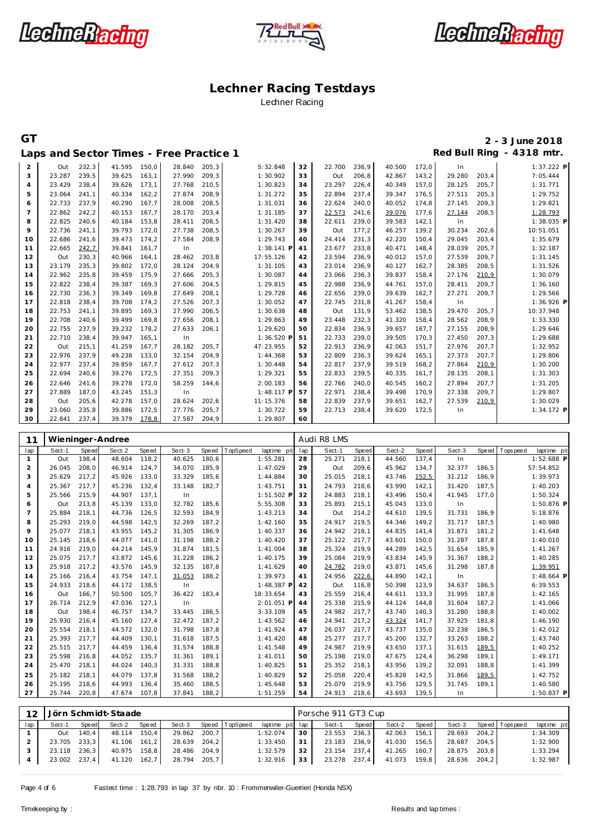





**GT 2 - 3 June 2018**

### Laps and Sector Times - Free Practice 1 *Red Bull Ring - 4318 mtr.* 2 0ut 232,3 41.595 150,0 28.840 205,3 5:32.848<br>3 23.287 239,5 39.625 163,1 27.990 209,3 1:30.902 22.700 236,9 40.500 172,0 In 1:37.222 **P** 3 23.287 239,5 39.625 163,1 27.990 209,3 Out 206,8 42.867 143,2 29.280 203,4 7:05.444 23.429 238,4 39.626 173,1 27.768 210,5 1:30.823 23.297 226,4 40.349 157,0 28.125 205,7 1:31.771 23.064 241,1 40.334 162,2 27.874 208,9 1:31.272 22.894 237,4 39.347 176,5 27.511 205,3 1:29.752 **6** 22.733 237,9 40.290 167,7 28.008 208,5<br>7 22.862 242.2 40.153 167.7 28.170 203.4 22.624 240,0 40.052 174,8 27.145 209,3 1:29.821 22.862 242,2 40.153 167,7 28.170 203,4 1:31.185 22.573 241,6 39.076 177,6 27.144 208,5 1:28.793 22.825 240,6 40.184 153,8 28.411 208,5 1:31.420 22.611 239,0 39.583 142,1 In 1:38.035 **P 9** 22.736 241,1 39.793 172,0 27.738 208,5 1:30.267<br>10 22.686 241,6 39.473 174,2 27.584 208,9 1:29.743 **39** Out 177,2 46.257 139,2 30.234 202,6 10:51.051<br>40 24.414 231,3 42.220 150,4 29.045 203,4 1:35.679 **10** 27.584 208,9 1:29.743<br>**10** 29.841 161,7 1n 1:38.141 P 24.414 231,3 42.220 150,4 29.045 203,4 1:35.679 22.665 242,7 39.841 161,7 In 1:38.141 **P** 23.677 233,8 40.471 148,4 28.039 205,7 1:32.187 12 Out 230,3 40.966 164,1 28.462 203,8<br>13 23 179 235.3 29.802 172.0 28.124 204.9 23.594 236,9 40.012 157,0 27.539 209,7 1:31.145  $\mathbf{I}$  23.179 235,3 39.802 172,0 28.124 204,9 1:31.105 23.014 236,9 40.127 162,7 28.385 208,5 1:31.526 22.962 235,8 39.459 175,9 27.666 205,3 1:30.087 23.066 236,3 39.837 158,4 27.176 210,9 1:30.079 22.822 238,4 39.387 169,3 27.606 204,5 1:29.815 22.988 236,9 44.761 157,0 28.411 209,7 1:36.160 22.730 236,3 39.349 169,8 27.649 208,1 1:29.728 22.656 239,0 39.639 162,7 27.271 209,7 1:29.566 22.818 238,4 39.708 174,2 27.526 207,3 1:30.052 22.745 231,8 41.267 158,4 In 1:36.926 **P**

|    | 23.177 | د, تد∠ | <b>JY.OUZ</b> | 1/2,0 | 20. I 24 | ZU4, 7 | 1. 31. IUS   | 45. | 23.UI4 | 200,9 | 40.121 | 102,7 | 20.303 | ZUO, J | 1.31.320     |
|----|--------|--------|---------------|-------|----------|--------|--------------|-----|--------|-------|--------|-------|--------|--------|--------------|
| 14 | 22.962 | 235,8  | 39.459        | 175.9 | 27.666   | 205.3  | 1:30.087     | 44  | 23.066 | 236,3 | 39.837 | 158.4 | 27.176 | 210,9  | 1:30.079     |
| 15 | 22.822 | 238.4  | 39.387        | 169.3 | 27.606   | 204.5  | 1:29.815     | 45  | 22.988 | 236.9 | 44.761 | 157.0 | 28.411 | 209.7  | 1:36.160     |
| 16 | 22.730 | 236,3  | 39.349        | 169.8 | 27.649   | 208.1  | 1:29.728     | 46  | 22.656 | 239.0 | 39.639 | 162,7 | 27.271 | 209.7  | 1:29.566     |
| 17 | 22.818 | 238,4  | 39.708        | 174,2 | 27.526   | 207,3  | 1:30.052     | 47  | 22.745 | 231,8 | 41.267 | 158,4 | In     |        | 1:36.926 P   |
| 18 | 22.753 | 241,1  | 39.895        | 169,3 | 27.990   | 206,5  | 1:30.638     | 48  | Out    | 131,9 | 53.462 | 138,5 | 29.470 | 205,7  | 10:37.948    |
| 19 | 22.708 | 240.6  | 39.499        | 169.8 | 27.656   | 208.1  | 1:29.863     | 49  | 23.448 | 232,3 | 41.320 | 158.4 | 28.562 | 208.9  | 1:33.330     |
| 20 | 22.755 | 237,9  | 39.232        | 178.2 | 27.633   | 206.1  | 1:29.620     | 50  | 22.834 | 236,9 | 39.657 | 167.7 | 27.155 | 208.9  | 1:29.646     |
| 21 | 22.710 | 238,4  | 39.947        | 165.1 | In       |        | $1:36.520$ P | 51  | 22.733 | 239.0 | 39.505 | 170.3 | 27.450 | 207.3  | 1:29.688     |
| 22 | Out    | 215,1  | 41.259        | 167.7 | 28.182   | 205.7  | 47:23.955    | 52  | 22.913 | 236,9 | 42.063 | 151,7 | 27.976 | 207.7  | 1:32.952     |
| 23 | 22.976 | 237.9  | 49.238        | 133.0 | 32.154   | 204.9  | 1:44.368     | 53  | 22.809 | 236,3 | 39.624 | 165.1 | 27.373 | 207.7  | 1:29.806     |
| 24 | 22.977 | 237,4  | 39.859        | 167.7 | 27.612   | 207.3  | 1:30.448     | 54  | 22.817 | 237,9 | 39.519 | 168,2 | 27.864 | 210,9  | 1:30.200     |
| 25 | 22.694 | 240,6  | 39.276        | 172,5 | 27.351   | 209,3  | 1:29.321     | 55  | 22.833 | 239,5 | 40.335 | 161.7 | 28.135 | 208,1  | 1:31.303     |
| 26 | 22.646 | 241.6  | 39.278        | 172,0 | 58.259   | 144.6  | 2:00.183     | 56  | 22.766 | 240.0 | 40.545 | 160.2 | 27.894 | 207.7  | 1:31.205     |
| 27 | 27.889 | 187.0  | 43.245        | 151.3 | In.      |        | $1:48.117$ P | 57  | 22.971 | 238,4 | 39.498 | 170.9 | 27.338 | 209.7  | 1:29.807     |
| 28 | Out    | 205,6  | 42.278        | 157,0 | 28.624   | 202,6  | 11:15.376    | 58  | 22.839 | 237,9 | 39.651 | 162,7 | 27.539 | 210,9  | 1:30.029     |
| 29 | 23.060 | 235,8  | 39.886        | 172,5 | 27.776   | 205,7  | 1:30.722     | 59  | 22.713 | 238,4 | 39.620 | 172,5 | In     |        | $1:34.172$ P |
| 30 | 22.841 | 237.4  | 39.379        | 178,8 | 27.587   | 204.9  | 1:29.807     | 60  |        |       |        |       |        |        |              |

| 11             |        |       | Wieninger-Andree    |       |        |       |          |             |     | Audi R8 LMS         |       |        |       |        |       |                   |              |
|----------------|--------|-------|---------------------|-------|--------|-------|----------|-------------|-----|---------------------|-------|--------|-------|--------|-------|-------------------|--------------|
| lap            | Sect-1 | Speed | Sect-2              | Speed | Sect-3 | Speed | TopSpeed | laptime pit | lap | Sect-1              | Speed | Sect-2 | Speed | Sect-3 | Speed | <b>T</b> ops peed | laptime pit  |
| $\mathbf{1}$   | Out    | 198.4 | 48.604              | 118,2 | 40.625 | 180,6 |          | 1:55.281    | 28  | 25.271              | 218,1 | 44.560 | 137.4 | In     |       |                   | $1:52.688$ P |
| 2              | 26.045 | 208.0 | 46.914              | 124,7 | 34.070 | 185,9 |          | 1:47.029    | 29  | Out                 | 209,6 | 45.962 | 134,7 | 32.377 | 186.5 |                   | 57:54.852    |
| 3              | 25.629 | 217,2 | 45.926              | 133,0 | 33.329 | 185,6 |          | 1:44.884    | 30  | 25.015              | 218,1 | 43.746 | 152,5 | 31.212 | 186,9 |                   | 1:39.973     |
| $\overline{4}$ | 25.367 | 217.7 | 45.236              | 132,4 | 33.148 | 182,7 |          | 1:43.751    | 31  | 24.793              | 218,6 | 43.990 | 142,1 | 31.420 | 187,5 |                   | 1:40.203     |
| 5              | 25.566 | 215,9 | 44.907              | 137.1 | In     |       |          | 1:51.502 F  | 32  | 24.883              | 218,1 | 43.496 | 150,4 | 41.945 | 177,0 |                   | 1:50.324     |
| 6              | Out    | 213,8 | 45.139              | 133,0 | 32.782 | 185,6 |          | 5:55.308    | 33  | 25.891              | 215,1 | 45.043 | 133,0 | In     |       |                   | 1:50.876 P   |
| $\overline{7}$ | 25.884 | 218.1 | 44.736              | 126,5 | 32.593 | 184,9 |          | 1:43.213    | 34  | Out                 | 214,2 | 44.610 | 139,5 | 31.731 | 186,9 |                   | 5:18.876     |
| 8              | 25.293 | 219.0 | 44.598              | 142.5 | 32.269 | 187.2 |          | 1:42.160    | 35  | 24.917              | 219,5 | 44.346 | 149,2 | 31.717 | 187.5 |                   | 1:40.980     |
| $\mathsf{Q}$   | 25.077 | 218,1 | 43.955              | 145,2 | 31.305 | 186,9 |          | 1:40.337    | 36  | 24.942              | 218,1 | 44.835 | 141,4 | 31.871 | 181,2 |                   | 1:41.648     |
| 10             | 25.145 | 218,6 | 44.077              | 141,0 | 31.198 | 188,2 |          | 1:40.420    | 37  | 25.122              | 217,7 | 43.601 | 150,0 | 31.287 | 187,8 |                   | 1:40.010     |
| 11             | 24.916 | 219,0 | 44.214              | 145,9 | 31.874 | 181,5 |          | 1:41.004    | 38  | 25.324              | 219,9 | 44.289 | 142,5 | 31.654 | 185,9 |                   | 1:41.267     |
| 12             | 25.075 | 217,7 | 43.872              | 145,6 | 31.228 | 186,2 |          | 1:40.175    | 39  | 25.084              | 219,9 | 43.834 | 145,9 | 31.367 | 188,2 |                   | 1:40.285     |
| 13             | 25.918 | 217,2 | 43.576              | 145,9 | 32.135 | 187,8 |          | 1:41.629    | 40  | 24.782              | 219,0 | 43.871 | 145,6 | 31.298 | 187,8 |                   | 1:39.951     |
| 14             | 25.166 | 216,4 | 43.754              | 147,1 | 31.053 | 188,2 |          | 1:39.973    | 41  | 24.956              | 222,6 | 44.890 | 142,1 | In     |       |                   | $1:48.664$ P |
| 15             | 24.933 | 218,6 | 44.172              | 138,5 | In     |       |          | 1:48.387 F  | 42  | Out                 | 116,8 | 50.398 | 123,9 | 34.637 | 186,5 |                   | 6:39.553     |
| 16             | Out    | 166,7 | 50.500              | 105,7 | 36.422 | 183,4 |          | 18:33.654   | 43  | 25.559              | 216,4 | 44.611 | 133,3 | 31.995 | 187,8 |                   | 1:42.165     |
| 17             | 26.714 | 212,9 | 47.036              | 127,1 | In     |       |          | 2:01.051 P  | 44  | 25.338              | 215,9 | 44.124 | 144,8 | 31.604 | 187,2 |                   | 1:41.066     |
| 18             | Out    | 198,4 | 46.757              | 134,7 | 33.445 | 186,5 |          | 3:33.109    | 45  | 24.982              | 217,7 | 43.740 | 140,3 | 31.280 | 188,8 |                   | 1:40.002     |
| 19             | 25.930 | 216,4 | 45.160              | 127,4 | 32.472 | 187,2 |          | 1:43.562    | 46  | 24.941              | 217,2 | 43.324 | 141,7 | 37.925 | 181,8 |                   | 1:46.190     |
| 20             | 25.554 | 218,1 | 44.572              | 132,0 | 31.798 | 187,8 |          | 1:41.924    | 47  | 26.037              | 217,7 | 43.737 | 135,0 | 32.238 | 186,5 |                   | 1:42.012     |
| 21             | 25.393 | 217,7 | 44.409              | 130,1 | 31.618 | 187,5 |          | 1:41.420    | 48  | 25.277              | 217,7 | 45.200 | 132,7 | 33.263 | 188,2 |                   | 1:43.740     |
| 22             | 25.515 | 217,7 | 44.459              | 136.4 | 31.574 | 188,8 |          | 1:41.548    | 49  | 24.987              | 219,9 | 43.650 | 137,1 | 31.615 | 189,5 |                   | 1:40.252     |
| 23             | 25.598 | 216,8 | 44.052              | 135,7 | 31.361 | 189,1 |          | 1:41.011    | 50  | 25.198              | 219,0 | 47.675 | 124,4 | 36.298 | 189,1 |                   | 1:49.171     |
| 24             | 25.470 | 218,1 | 44.024              | 140,3 | 31.331 | 188,8 |          | 1:40.825    | 51  | 25.352              | 218,1 | 43.956 | 139,2 | 32.091 | 188,8 |                   | 1:41.399     |
| 25             | 25.182 | 218,1 | 44.079              | 137,8 | 31.568 | 188,2 |          | 1:40.829    | 52  | 25.058              | 220,4 | 45.828 | 142,5 | 31.866 | 189,5 |                   | 1:42.752     |
| 26             | 25.195 | 218,6 | 44.993              | 136,4 | 35.460 | 188,5 |          | 1:45.648    | 53  | 25.079              | 219,9 | 43.756 | 129,5 | 31.745 | 189,1 |                   | 1:40.580     |
| 27             | 25.744 | 220,8 | 47.674              | 107,8 | 37.841 | 188,2 |          | 1:51.259    | 54  | 24.913              | 218,6 | 43.693 | 139,5 | In     |       |                   | $1:50.837$ P |
|                |        |       |                     |       |        |       |          |             |     |                     |       |        |       |        |       |                   |              |
| 12             |        |       | Jörn Schmidt-Staade |       |        |       |          |             |     | Porsche 911 GT3 Cup |       |        |       |        |       |                   |              |
| lap            | Sect-1 | Speed | Sect-2              | Speed | Sect-3 | Speed | TopSpeed | laptime pit | lap | Sect-1              | Speed | Sect-2 | Speed | Sect-3 | Speed | T ops pee d       | laptime pit  |
| $\mathbf{1}$   | Out    | 140,4 | 48.114              | 150,4 | 29.862 | 200,7 |          | 1:52.074    | 30  | 23.553              | 236,3 | 42.063 | 156,1 | 28.693 | 204,2 |                   | 1:34.309     |
| 2              | 23.705 | 233,3 | 41.106              | 161,2 | 28.639 | 204,2 |          | 1:33.450    | 31  | 23.183              | 236,9 | 41.030 | 156,5 | 28.687 | 204,5 |                   | 1:32.900     |

 23.118 236,3 40.975 158,8 28.486 204,9 1:32.579 23.002 237,4 41.120 162,7 28.794 205,7 1:32.916

 23.154 237,4 41.265 160,7 28.875 203,8 1:33.294 23.278 237,4 41.073 159,8 28.636 204,2 1:32.987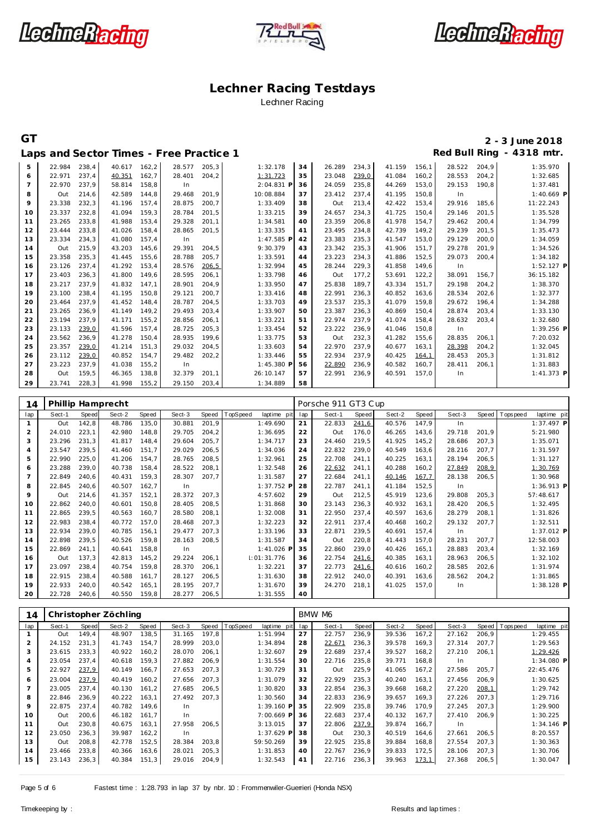





### **GT 2 - 3 June 2018 Laps and Sector Times - Free Practice 1 Red Bull Ring - 4318 mtr.**

|    |        | ---   | .      |       |        |        |            |    |        |       |        |        |        |       |              |
|----|--------|-------|--------|-------|--------|--------|------------|----|--------|-------|--------|--------|--------|-------|--------------|
| 5  | 22.984 | 238,4 | 40.617 | 162,2 | 28.577 | 205.3  | 1:32.178   | 34 | 26.289 | 234,3 | 41.159 | 156,1  | 28.522 | 204.9 | 1:35.970     |
| 6  | 22.971 | 237,4 | 40.351 | 162,7 | 28.401 | 204,2  | 1:31.723   | 35 | 23.048 | 239,0 | 41.084 | 160,2  | 28.553 | 204,2 | 1:32.685     |
| 7  | 22.970 | 237,9 | 58.814 | 158,8 | In     |        | 2:04.831 P | 36 | 24.059 | 235,8 | 44.269 | 153,0  | 29.153 | 190.8 | 1:37.481     |
| 8  | Out    | 214,6 | 42.589 | 144.8 | 29.468 | 201.9  | 10:08.884  | 37 | 23.412 | 237.4 | 41.195 | 150.8  | In     |       | $1:40.669$ P |
| 9  | 23.338 | 232,3 | 41.196 | 157.4 | 28.875 | 200.7  | 1:33.409   | 38 | Out    | 213,4 | 42.422 | 153,4  | 29.916 | 185,6 | 11:22.243    |
| 10 | 23.337 | 232,8 | 41.094 | 159,3 | 28.784 | 201,5  | 1:33.215   | 39 | 24.657 | 234,3 | 41.725 | 150,4  | 29.146 | 201,5 | 1:35.528     |
| 11 | 23.265 | 233,8 | 41.988 | 153.4 | 29.328 | 201.1  | 1:34.581   | 40 | 23.359 | 206.8 | 41.978 | 154.7  | 29.462 | 200.4 | 1:34.799     |
| 12 | 23.444 | 233,8 | 41.026 | 158.4 | 28.865 | 201,5  | 1:33.335   | 41 | 23.495 | 234,8 | 42.739 | 149,2  | 29.239 | 201,5 | 1:35.473     |
| 13 | 23.334 | 234,3 | 41.080 | 157.4 | In     |        | 1:47.585 F | 42 | 23.383 | 235,3 | 41.547 | 153,0  | 29.129 | 200,0 | 1:34.059     |
| 14 | Out    | 215,9 | 43.203 | 145,6 | 29.391 | 204,5  | 9:30.379   | 43 | 23.342 | 235,3 | 41.906 | 151,7  | 29.278 | 201,9 | 1:34.526     |
| 15 | 23.358 | 235,3 | 41.445 | 155.6 | 28.788 | 205,7  | 1:33.591   | 44 | 23.223 | 234,3 | 41.886 | 152,5  | 29.073 | 200,4 | 1:34.182     |
| 16 | 23.126 | 237,4 | 41.292 | 153,4 | 28.576 | 206,5  | 1:32.994   | 45 | 28.244 | 229,3 | 41.858 | 149,6  | In     |       | $1:52.127$ P |
| 17 | 23.403 | 236,3 | 41.800 | 149,6 | 28.595 | 206,1  | 1:33.798   | 46 | Out    | 177,2 | 53.691 | 122, 2 | 38.091 | 156,7 | 36:15.182    |
| 18 | 23.217 | 237.9 | 41.832 | 147.1 | 28.901 | 204.9  | 1:33.950   | 47 | 25.838 | 189.7 | 43.334 | 151.7  | 29.198 | 204,2 | 1:38.370     |
| 19 | 23.100 | 238.4 | 41.195 | 150.8 | 29.121 | 200,7  | 1:33.416   | 48 | 22.991 | 236.3 | 40.852 | 163,6  | 28.534 | 202,6 | 1:32.377     |
| 20 | 23.464 | 237.9 | 41.452 | 148.4 | 28.787 | 204,5  | 1:33.703   | 49 | 23.537 | 235,3 | 41.079 | 159,8  | 29.672 | 196,4 | 1:34.288     |
| 21 | 23.265 | 236,9 | 41.149 | 149,2 | 29.493 | 203,4  | 1:33.907   | 50 | 23.387 | 236,3 | 40.869 | 150,4  | 28.874 | 203,4 | 1:33.130     |
| 22 | 23.194 | 237.9 | 41.171 | 155.2 | 28.856 | 206,1  | 1:33.221   | 51 | 22.974 | 237.9 | 41.074 | 158,4  | 28.632 | 203,4 | 1:32.680     |
| 23 | 23.133 | 239,0 | 41.596 | 157.4 | 28.725 | 205,3  | 1:33.454   | 52 | 23.222 | 236,9 | 41.046 | 150,8  | In     |       | 1:39.256 P   |
| 24 | 23.562 | 236,9 | 41.278 | 150.4 | 28.935 | 199,6  | 1:33.775   | 53 | Out    | 232,3 | 41.282 | 155,6  | 28.835 | 206,1 | 7:20.032     |
| 25 | 23.357 | 239.0 | 41.214 | 151.3 | 29.032 | 204,5  | 1:33.603   | 54 | 22.970 | 237.9 | 40.677 | 163,1  | 28.398 | 204,2 | 1:32.045     |
| 26 | 23.112 | 239,0 | 40.852 | 154.7 | 29.482 | 202, 2 | 1:33.446   | 55 | 22.934 | 237,9 | 40.425 | 164,1  | 28.453 | 205,3 | 1:31.812     |
| 27 | 23.223 | 237,9 | 41.038 | 155,2 | In     |        | 1:45.380 P | 56 | 22.890 | 236,9 | 40.582 | 160,7  | 28.411 | 206,1 | 1:31.883     |
| 28 | Out    | 159,5 | 46.365 | 138,8 | 32.379 | 201,1  | 26:10.147  | 57 | 22.991 | 236,9 | 40.591 | 157.0  | In     |       | $1:41.373$ P |
| 29 | 23.741 | 228.3 | 41.998 | 155.2 | 29.150 | 203.4  | 1:34.889   | 58 |        |       |        |        |        |       |              |

| 14             | Phillip Hamprecht |       |        |       |        |        |          |              | Porsche 911 GT3 Cup |        |       |        |        |        |       |            |              |  |
|----------------|-------------------|-------|--------|-------|--------|--------|----------|--------------|---------------------|--------|-------|--------|--------|--------|-------|------------|--------------|--|
| lap            | Sect-1            | Speed | Sect-2 | Speed | Sect-3 | Speed  | TopSpeed | laptime pit  | lap                 | Sect-1 | Speed | Sect-2 | Speed  | Sect-3 | Speed | Tops pee d | laptime pit  |  |
| $\mathbf{1}$   | Out               | 142,8 | 48.786 | 135,0 | 30.881 | 201,9  |          | 1:49.690     | 21                  | 22.833 | 241,6 | 40.576 | 147,9  | In     |       |            | $1:37.497$ P |  |
| 2              | 24.010            | 223,1 | 42.980 | 148.8 | 29.705 | 204,2  |          | 1:36.695     | 22                  | Out    | 176.0 | 46.265 | 143,6  | 29.718 | 201,9 |            | 5:21.980     |  |
| 3              | 23.296            | 231,3 | 41.817 | 148.4 | 29.604 | 205,7  |          | 1:34.717     | 23                  | 24.460 | 219,5 | 41.925 | 145,2  | 28.686 | 207,3 |            | 1:35.071     |  |
| $\overline{4}$ | 23.547            | 239,5 | 41.460 | 151,7 | 29.029 | 206,5  |          | 1:34.036     | 24                  | 22.832 | 239,0 | 40.549 | 163,6  | 28.216 | 207,7 |            | 1:31.597     |  |
| 5              | 22.990            | 225,0 | 41.206 | 154,7 | 28.765 | 208,5  |          | 1:32.961     | 25                  | 22.708 | 241,1 | 40.225 | 163,1  | 28.194 | 206,5 |            | 1:31.127     |  |
| 6              | 23.288            | 239,0 | 40.738 | 158,4 | 28.522 | 208,1  |          | 1:32.548     | 26                  | 22.632 | 241,1 | 40.288 | 160,2  | 27.849 | 208,9 |            | 1:30.769     |  |
| $\overline{7}$ | 22.849            | 240,6 | 40.431 | 159,3 | 28.307 | 207,7  |          | 1:31.587     | 27                  | 22.684 | 241,1 | 40.146 | 167,7  | 28.138 | 206,5 |            | 1:30.968     |  |
| 8              | 22.845            | 240,6 | 40.507 | 162.7 | In     |        |          | $1:37.752$ P | 28                  | 22.787 | 241.1 | 41.184 | 152,5  | In     |       |            | 1:36.913 P   |  |
| 9              | Out               | 214,6 | 41.357 | 152,1 | 28.372 | 207,3  |          | 4:57.602     | 29                  | Out    | 212,5 | 45.919 | 123,6  | 29.808 | 205,3 |            | 57:48.617    |  |
| 10             | 22.862            | 240,0 | 40.601 | 150,8 | 28.405 | 208,5  |          | 1:31.868     | 30                  | 23.143 | 236,3 | 40.932 | 163,1  | 28.420 | 206,5 |            | 1:32.495     |  |
| 11             | 22.865            | 239,5 | 40.563 | 160,7 | 28.580 | 208,1  |          | 1:32.008     | 31                  | 22.950 | 237,4 | 40.597 | 163,6  | 28.279 | 208,1 |            | 1:31.826     |  |
| 12             | 22.983            | 238,4 | 40.772 | 157,0 | 28.468 | 207,3  |          | 1:32.223     | 32                  | 22.911 | 237,4 | 40.468 | 160,2  | 29.132 | 207,7 |            | 1:32.511     |  |
| 13             | 22.934            | 239,0 | 40.785 | 156,1 | 29.477 | 207,3  |          | 1:33.196     | 33                  | 22.871 | 239,5 | 40.691 | 157,4  | In     |       |            | 1:37.012 P   |  |
| 14             | 22.898            | 239.5 | 40.526 | 159,8 | 28.163 | 208,5  |          | 1:31.587     | 34                  | Out    | 220,8 | 41.443 | 157,0  | 28.231 | 207.7 |            | 12:58.003    |  |
| 15             | 22.869            | 241,1 | 40.641 | 158,8 | In     |        |          | 1:41.026 P   | 35                  | 22.860 | 239.0 | 40.426 | 165, 1 | 28.883 | 203,4 |            | 1:32.169     |  |
| 16             | Out               | 137,3 | 42.813 | 145,2 | 29.224 | 206,1  |          | 1:01:31.776  | 36                  | 22.754 | 241,6 | 40.385 | 163,1  | 28.963 | 206,5 |            | 1:32.102     |  |
| 17             | 23.097            | 238,4 | 40.754 | 159,8 | 28.370 | 206,1  |          | 1:32.221     | 37                  | 22.773 | 241,6 | 40.616 | 160,2  | 28.585 | 202,6 |            | 1:31.974     |  |
| 18             | 22.915            | 238,4 | 40.588 | 161.7 | 28.127 | 206,5  |          | 1:31.630     | 38                  | 22.912 | 240,0 | 40.391 | 163,6  | 28.562 | 204,2 |            | 1:31.865     |  |
| 19             | 22.933            | 240,0 | 40.542 | 165,1 | 28.195 | 207,7  |          | 1:31.670     | 39                  | 24.270 | 218,1 | 41.025 | 157,0  | In.    |       |            | 1:38.128 P   |  |
| 20             | 22.728            | 240,6 | 40.550 | 159,8 | 28.277 | 206, 5 |          | 1:31.555     | 40                  |        |       |        |        |        |       |            |              |  |

| 14  | Christopher Zöchling |       |        |       |        |       |          |              |     | BMW M6 |       |        |       |        |       |            |              |  |  |
|-----|----------------------|-------|--------|-------|--------|-------|----------|--------------|-----|--------|-------|--------|-------|--------|-------|------------|--------------|--|--|
| lap | Sect-1               | Speed | Sect-2 | Speed | Sect-3 | Speed | TopSpeed | laptime pit  | lap | Sect-1 | Speed | Sect-2 | Speed | Sect-3 | Speed | T ops peed | laptime pit  |  |  |
|     | Out                  | 149.4 | 48.907 | 138,5 | 31.165 | 197,8 |          | 1:51.994     | 27  | 22.757 | 236,9 | 39.536 | 167,2 | 27.162 | 206,9 |            | 1:29.455     |  |  |
| 2   | 24.152               | 231,3 | 41.743 | 154,7 | 28.999 | 203,0 |          | 1:34.894     | 28  | 22.671 | 236,3 | 39.578 | 169,3 | 27.314 | 207.7 |            | 1:29.563     |  |  |
| 3   | 23.615               | 233.3 | 40.922 | 160.2 | 28.070 | 206,1 |          | 1:32.607     | 29  | 22.689 | 237.4 | 39.527 | 168,2 | 27.210 | 206.1 |            | 1:29.426     |  |  |
| 4   | 23.054               | 237.4 | 40.618 | 159,3 | 27.882 | 206,9 |          | 1:31.554     | 30  | 22.716 | 235,8 | 39.771 | 168,8 | In     |       |            | 1:34.080 P   |  |  |
| 5   | 22.927               | 237,9 | 40.149 | 166.7 | 27.653 | 207,3 |          | 1:30.729     | 31  | Out    | 225,9 | 41.065 | 167,2 | 27.586 | 205,7 |            | 22:45.476    |  |  |
| 6   | 23.004               | 237,9 | 40.419 | 160,2 | 27.656 | 207,3 |          | 1:31.079     | 32  | 22.929 | 235,3 | 40.240 | 163,1 | 27.456 | 206,9 |            | 1:30.625     |  |  |
|     | 23.005               | 237,4 | 40.130 | 161.2 | 27.685 | 206,5 |          | 1:30.820     | 33  | 22.854 | 236,3 | 39.668 | 168,2 | 27.220 | 208,1 |            | 1:29.742     |  |  |
| 8   | 22.846               | 236,9 | 40.222 | 163.1 | 27.492 | 207,3 |          | 1:30.560     | 34  | 22.833 | 236,9 | 39.657 | 169.3 | 27.226 | 207.3 |            | 1:29.716     |  |  |
| 9   | 22.875               | 237.4 | 40.782 | 149.6 | In.    |       |          | $1:39.160$ P | 35  | 22.909 | 235,8 | 39.746 | 170.9 | 27.245 | 207,3 |            | 1:29.900     |  |  |
| 10  | Out                  | 200.6 | 46.182 | 161.7 | In.    |       |          | 7:00.669 P   | 36  | 22.683 | 237.4 | 40.132 | 167.7 | 27.410 | 206,9 |            | 1:30.225     |  |  |
| 11  | Out                  | 230,8 | 40.675 | 163,1 | 27.958 | 206,5 |          | 3:13.015     | 37  | 22.806 | 237,9 | 39.874 | 166,7 | In     |       |            | $1:34.146$ P |  |  |
| 12  | 23.050               | 236,3 | 39.987 | 162,2 | In     |       |          | 1:37.629 P   | 38  | Out    | 230,3 | 40.519 | 164,6 | 27.661 | 206,5 |            | 8:20.557     |  |  |
| 13  | Out                  | 208,8 | 42.778 | 152,5 | 28.384 | 203,8 |          | 59:50.269    | 39  | 22.925 | 235,8 | 39.884 | 168,8 | 27.554 | 207,3 |            | 1:30.363     |  |  |
| 14  | 23.466               | 233,8 | 40.366 | 163,6 | 28.021 | 205,3 |          | 1:31.853     | 40  | 22.767 | 236,9 | 39.833 | 172,5 | 28.106 | 207,3 |            | 1:30.706     |  |  |
| 15  | 23.143               | 236,3 | 40.384 | 151,3 | 29.016 | 204,9 |          | 1:32.543     | 41  | 22.716 | 236,3 | 39.963 | 173,1 | 27.368 | 206,5 |            | 1:30.047     |  |  |